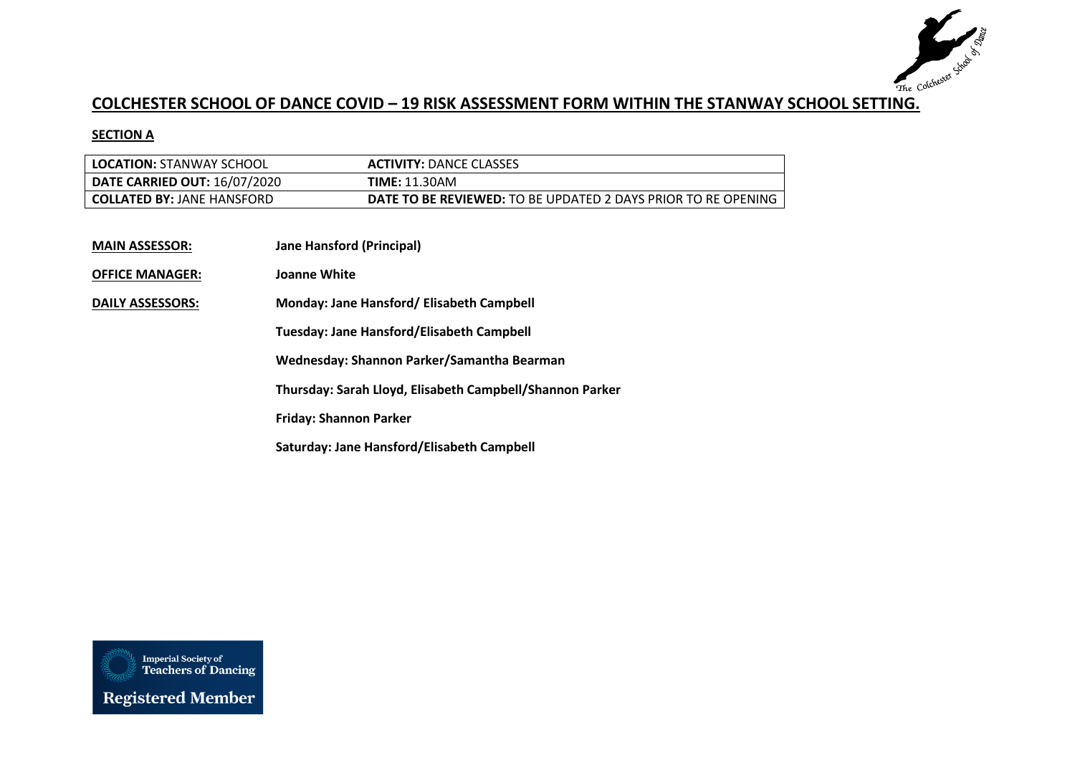

## **COLCHESTER SCHOOL OF DANCE COVID – 19 RISK ASSESSMENT FORM WITHIN THE STANWAY SCHOOL SETTING.**

## **SECTION A**

| <b>LOCATION: STANWAY SCHOOL</b>     | <b>ACTIVITY: DANCE CLASSES</b>                                       |
|-------------------------------------|----------------------------------------------------------------------|
| <b>DATE CARRIED OUT: 16/07/2020</b> | TIME: 11.30AM                                                        |
| <b>COLLATED BY: JANE HANSFORD</b>   | <b>DATE TO BE REVIEWED:</b> TO BE UPDATED 2 DAYS PRIOR TO RE OPENING |

| <b>MAIN ASSESSOR:</b> | <b>Jane Hansford (Principal)</b> |
|-----------------------|----------------------------------|
|                       |                                  |

**OFFICE MANAGER: Joanne White**

**DAILY ASSESSORS: Monday: Jane Hansford/ Elisabeth Campbell**

**Tuesday: Jane Hansford/Elisabeth Campbell**

**Wednesday: Shannon Parker/Samantha Bearman**

**Thursday: Sarah Lloyd, Elisabeth Campbell/Shannon Parker**

**Friday: Shannon Parker**

**Saturday: Jane Hansford/Elisabeth Campbell**

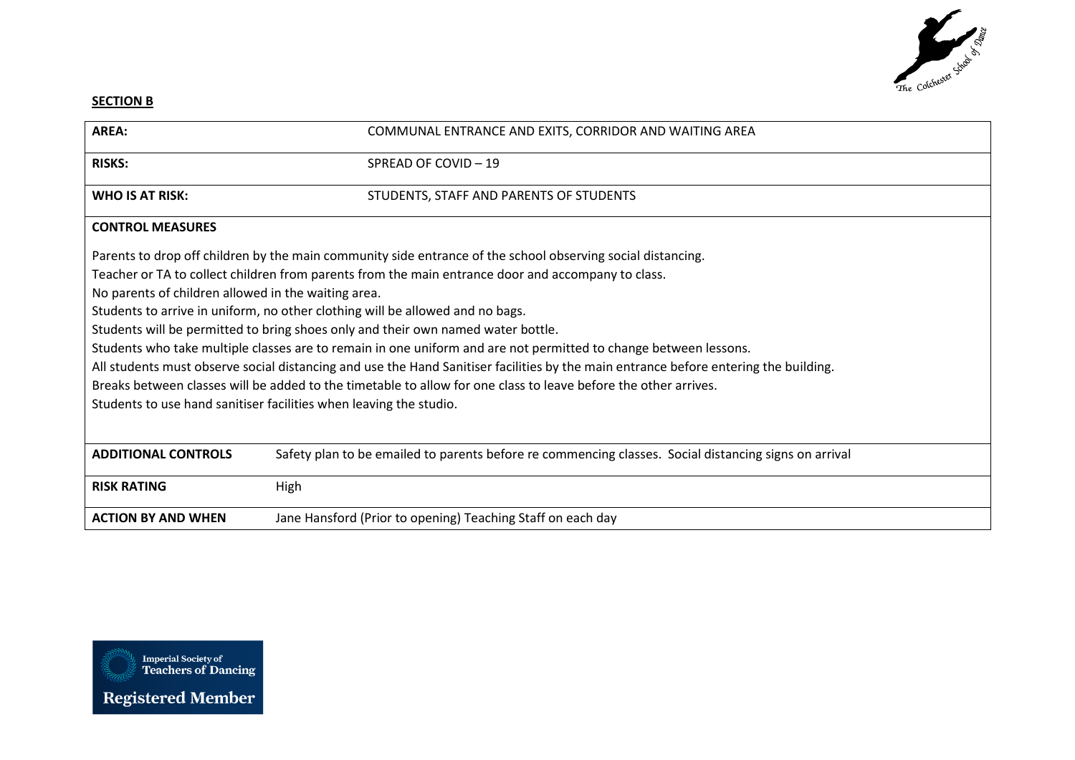

## **SECTION B**

| AREA:                                                                                                                                                                                                                                                                                                                                                                                                                                                                                                                                                                                                                                                                                                                                                                                                                        | COMMUNAL ENTRANCE AND EXITS, CORRIDOR AND WAITING AREA                                                |
|------------------------------------------------------------------------------------------------------------------------------------------------------------------------------------------------------------------------------------------------------------------------------------------------------------------------------------------------------------------------------------------------------------------------------------------------------------------------------------------------------------------------------------------------------------------------------------------------------------------------------------------------------------------------------------------------------------------------------------------------------------------------------------------------------------------------------|-------------------------------------------------------------------------------------------------------|
| <b>RISKS:</b>                                                                                                                                                                                                                                                                                                                                                                                                                                                                                                                                                                                                                                                                                                                                                                                                                | SPREAD OF COVID-19                                                                                    |
| <b>WHO IS AT RISK:</b>                                                                                                                                                                                                                                                                                                                                                                                                                                                                                                                                                                                                                                                                                                                                                                                                       | STUDENTS, STAFF AND PARENTS OF STUDENTS                                                               |
| <b>CONTROL MEASURES</b>                                                                                                                                                                                                                                                                                                                                                                                                                                                                                                                                                                                                                                                                                                                                                                                                      |                                                                                                       |
| Parents to drop off children by the main community side entrance of the school observing social distancing.<br>Teacher or TA to collect children from parents from the main entrance door and accompany to class.<br>No parents of children allowed in the waiting area.<br>Students to arrive in uniform, no other clothing will be allowed and no bags.<br>Students will be permitted to bring shoes only and their own named water bottle.<br>Students who take multiple classes are to remain in one uniform and are not permitted to change between lessons.<br>All students must observe social distancing and use the Hand Sanitiser facilities by the main entrance before entering the building.<br>Breaks between classes will be added to the timetable to allow for one class to leave before the other arrives. |                                                                                                       |
| Students to use hand sanitiser facilities when leaving the studio.                                                                                                                                                                                                                                                                                                                                                                                                                                                                                                                                                                                                                                                                                                                                                           |                                                                                                       |
| <b>ADDITIONAL CONTROLS</b>                                                                                                                                                                                                                                                                                                                                                                                                                                                                                                                                                                                                                                                                                                                                                                                                   | Safety plan to be emailed to parents before re commencing classes. Social distancing signs on arrival |
| <b>RISK RATING</b>                                                                                                                                                                                                                                                                                                                                                                                                                                                                                                                                                                                                                                                                                                                                                                                                           | High                                                                                                  |
| <b>ACTION BY AND WHEN</b>                                                                                                                                                                                                                                                                                                                                                                                                                                                                                                                                                                                                                                                                                                                                                                                                    | Jane Hansford (Prior to opening) Teaching Staff on each day                                           |

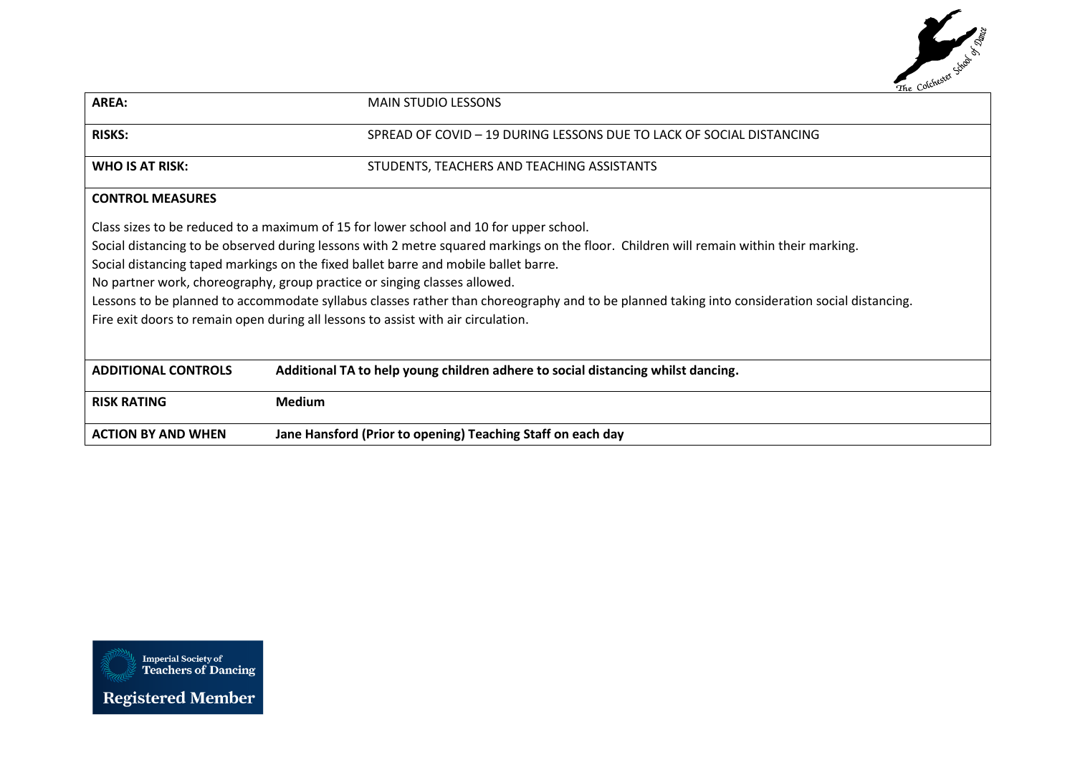

| AREA:                                                                                                                                         | <b>MAIN STUDIO LESSONS</b>                                                                                                             |
|-----------------------------------------------------------------------------------------------------------------------------------------------|----------------------------------------------------------------------------------------------------------------------------------------|
| <b>RISKS:</b>                                                                                                                                 | SPREAD OF COVID - 19 DURING LESSONS DUE TO LACK OF SOCIAL DISTANCING                                                                   |
| <b>WHO IS AT RISK:</b>                                                                                                                        | STUDENTS, TEACHERS AND TEACHING ASSISTANTS                                                                                             |
| <b>CONTROL MEASURES</b>                                                                                                                       |                                                                                                                                        |
|                                                                                                                                               | Class sizes to be reduced to a maximum of 15 for lower school and 10 for upper school.                                                 |
|                                                                                                                                               | Social distancing to be observed during lessons with 2 metre squared markings on the floor. Children will remain within their marking. |
| Social distancing taped markings on the fixed ballet barre and mobile ballet barre.                                                           |                                                                                                                                        |
| No partner work, choreography, group practice or singing classes allowed.                                                                     |                                                                                                                                        |
| Lessons to be planned to accommodate syllabus classes rather than choreography and to be planned taking into consideration social distancing. |                                                                                                                                        |
| Fire exit doors to remain open during all lessons to assist with air circulation.                                                             |                                                                                                                                        |
|                                                                                                                                               |                                                                                                                                        |
| <b>ADDITIONAL CONTROLS</b>                                                                                                                    | Additional TA to help young children adhere to social distancing whilst dancing.                                                       |
| <b>RISK RATING</b>                                                                                                                            | <b>Medium</b>                                                                                                                          |
| <b>ACTION BY AND WHEN</b>                                                                                                                     | Jane Hansford (Prior to opening) Teaching Staff on each day                                                                            |

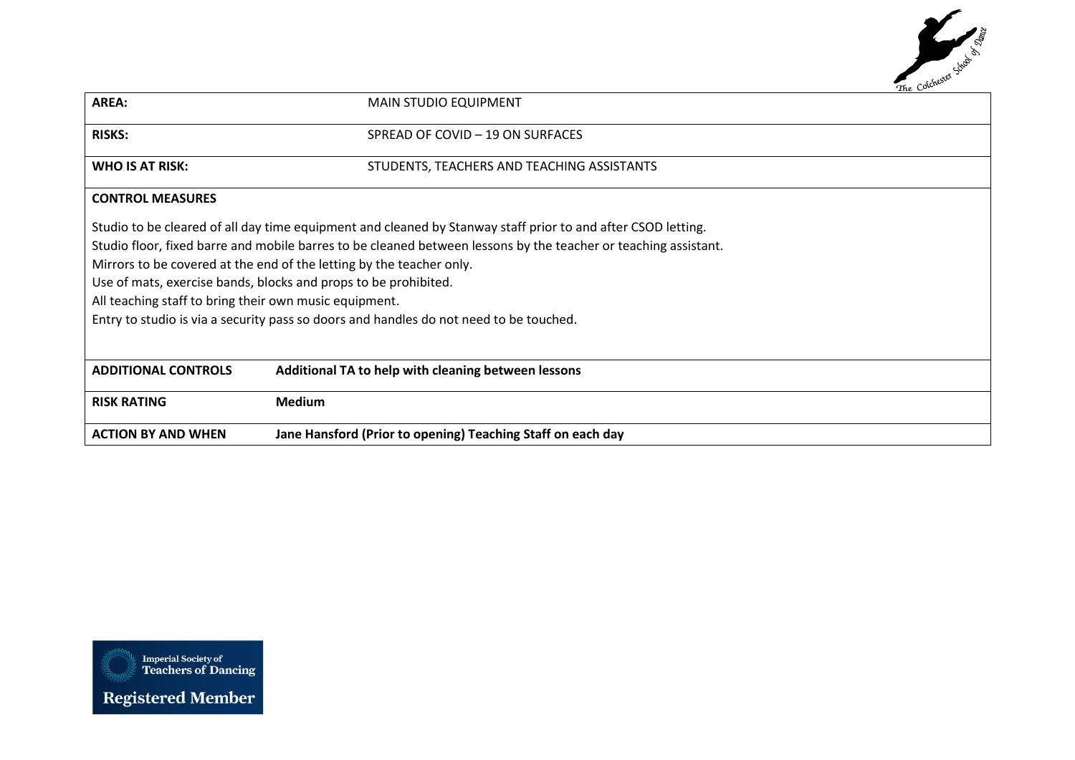

| AREA:                                                                                  | <b>MAIN STUDIO EQUIPMENT</b>                                                                                    |  |
|----------------------------------------------------------------------------------------|-----------------------------------------------------------------------------------------------------------------|--|
| <b>RISKS:</b>                                                                          | SPREAD OF COVID - 19 ON SURFACES                                                                                |  |
| WHO IS AT RISK:                                                                        | STUDENTS, TEACHERS AND TEACHING ASSISTANTS                                                                      |  |
| <b>CONTROL MEASURES</b>                                                                |                                                                                                                 |  |
|                                                                                        | Studio to be cleared of all day time equipment and cleaned by Stanway staff prior to and after CSOD letting.    |  |
|                                                                                        | Studio floor, fixed barre and mobile barres to be cleaned between lessons by the teacher or teaching assistant. |  |
| Mirrors to be covered at the end of the letting by the teacher only.                   |                                                                                                                 |  |
| Use of mats, exercise bands, blocks and props to be prohibited.                        |                                                                                                                 |  |
| All teaching staff to bring their own music equipment.                                 |                                                                                                                 |  |
| Entry to studio is via a security pass so doors and handles do not need to be touched. |                                                                                                                 |  |
|                                                                                        |                                                                                                                 |  |
| <b>ADDITIONAL CONTROLS</b>                                                             | Additional TA to help with cleaning between lessons                                                             |  |
| <b>RISK RATING</b>                                                                     | <b>Medium</b>                                                                                                   |  |
| <b>ACTION BY AND WHEN</b>                                                              | Jane Hansford (Prior to opening) Teaching Staff on each day                                                     |  |

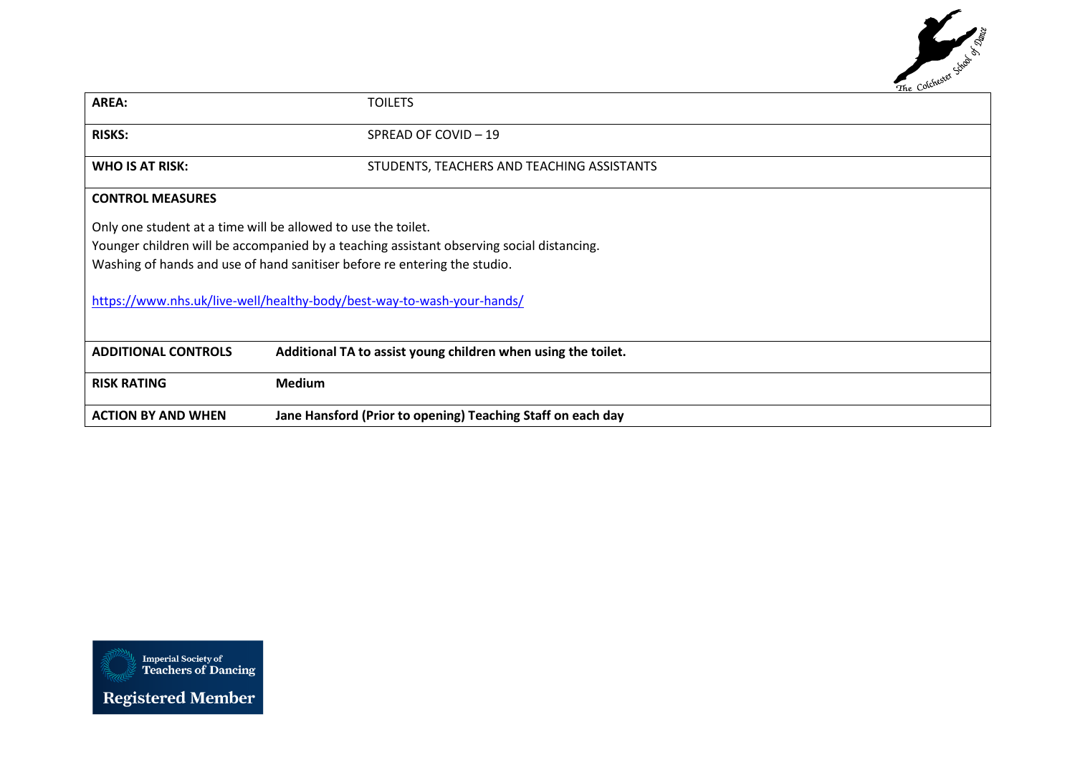

| AREA:                                                         | <b>TOILETS</b>                                                                                                                                                                                                                                   |
|---------------------------------------------------------------|--------------------------------------------------------------------------------------------------------------------------------------------------------------------------------------------------------------------------------------------------|
| <b>RISKS:</b>                                                 | SPREAD OF COVID - 19                                                                                                                                                                                                                             |
| <b>WHO IS AT RISK:</b>                                        | STUDENTS, TEACHERS AND TEACHING ASSISTANTS                                                                                                                                                                                                       |
| <b>CONTROL MEASURES</b>                                       |                                                                                                                                                                                                                                                  |
| Only one student at a time will be allowed to use the toilet. | Younger children will be accompanied by a teaching assistant observing social distancing.<br>Washing of hands and use of hand sanitiser before re entering the studio.<br>https://www.nhs.uk/live-well/healthy-body/best-way-to-wash-your-hands/ |
| <b>ADDITIONAL CONTROLS</b>                                    | Additional TA to assist young children when using the toilet.                                                                                                                                                                                    |
| <b>RISK RATING</b>                                            | <b>Medium</b>                                                                                                                                                                                                                                    |
| <b>ACTION BY AND WHEN</b>                                     | Jane Hansford (Prior to opening) Teaching Staff on each day                                                                                                                                                                                      |

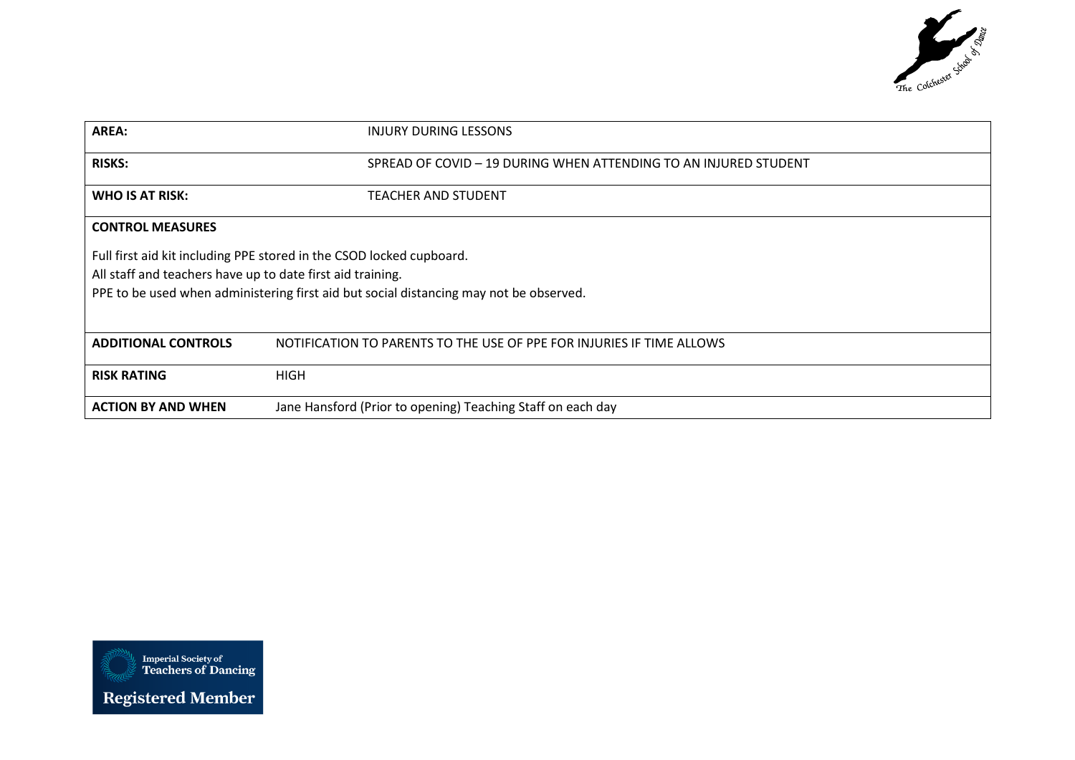

| <b>AREA:</b>                                               | INJURY DURING LESSONS                                                                                                                                          |
|------------------------------------------------------------|----------------------------------------------------------------------------------------------------------------------------------------------------------------|
| <b>RISKS:</b>                                              | SPREAD OF COVID - 19 DURING WHEN ATTENDING TO AN INJURED STUDENT                                                                                               |
| WHO IS AT RISK:                                            | <b>TEACHER AND STUDENT</b>                                                                                                                                     |
| <b>CONTROL MEASURES</b>                                    |                                                                                                                                                                |
| All staff and teachers have up to date first aid training. | Full first aid kit including PPE stored in the CSOD locked cupboard.<br>PPE to be used when administering first aid but social distancing may not be observed. |
| <b>ADDITIONAL CONTROLS</b>                                 | NOTIFICATION TO PARENTS TO THE USE OF PPE FOR INJURIES IF TIME ALLOWS                                                                                          |
| <b>RISK RATING</b>                                         | <b>HIGH</b>                                                                                                                                                    |
| <b>ACTION BY AND WHEN</b>                                  | Jane Hansford (Prior to opening) Teaching Staff on each day                                                                                                    |

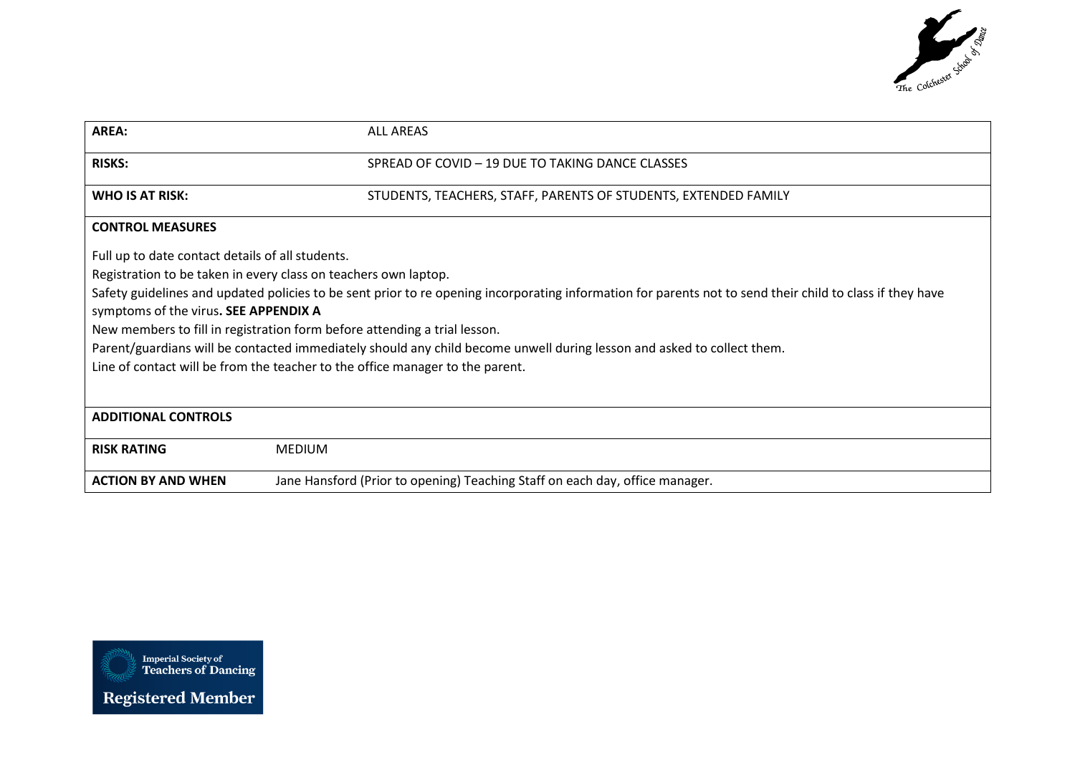

| <b>AREA:</b>                                                                                                                                              | <b>ALL AREAS</b>                                                                                                       |  |
|-----------------------------------------------------------------------------------------------------------------------------------------------------------|------------------------------------------------------------------------------------------------------------------------|--|
|                                                                                                                                                           |                                                                                                                        |  |
| <b>RISKS:</b>                                                                                                                                             | SPREAD OF COVID - 19 DUE TO TAKING DANCE CLASSES                                                                       |  |
| <b>WHO IS AT RISK:</b>                                                                                                                                    | STUDENTS, TEACHERS, STAFF, PARENTS OF STUDENTS, EXTENDED FAMILY                                                        |  |
|                                                                                                                                                           |                                                                                                                        |  |
| <b>CONTROL MEASURES</b>                                                                                                                                   |                                                                                                                        |  |
| Full up to date contact details of all students.                                                                                                          |                                                                                                                        |  |
| Registration to be taken in every class on teachers own laptop.                                                                                           |                                                                                                                        |  |
| Safety guidelines and updated policies to be sent prior to re opening incorporating information for parents not to send their child to class if they have |                                                                                                                        |  |
| symptoms of the virus. SEE APPENDIX A                                                                                                                     |                                                                                                                        |  |
| New members to fill in registration form before attending a trial lesson.                                                                                 |                                                                                                                        |  |
|                                                                                                                                                           | Parent/guardians will be contacted immediately should any child become unwell during lesson and asked to collect them. |  |
| Line of contact will be from the teacher to the office manager to the parent.                                                                             |                                                                                                                        |  |
|                                                                                                                                                           |                                                                                                                        |  |
| <b>ADDITIONAL CONTROLS</b>                                                                                                                                |                                                                                                                        |  |
| <b>RISK RATING</b>                                                                                                                                        | <b>MEDIUM</b>                                                                                                          |  |
|                                                                                                                                                           |                                                                                                                        |  |
| <b>ACTION BY AND WHEN</b>                                                                                                                                 | Jane Hansford (Prior to opening) Teaching Staff on each day, office manager.                                           |  |